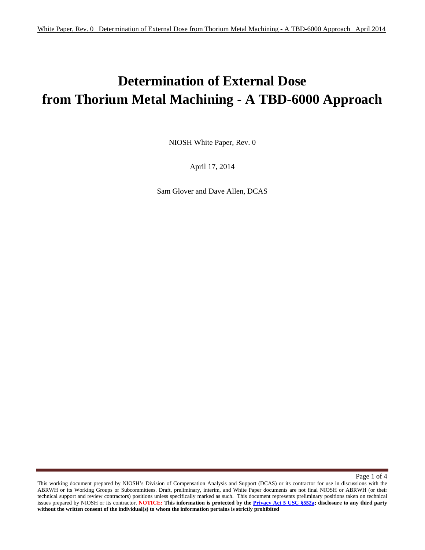# **Determination of External Dose from Thorium Metal Machining - A TBD-6000 Approach**

NIOSH White Paper, Rev. 0

April 17, 2014

Sam Glover and Dave Allen, DCAS

Page 1 of 4

 **without the written consent of the individual(s) to whom the information pertains is strictly prohibited** This working document prepared by NIOSH's Division of Compensation Analysis and Support (DCAS) or its contractor for use in discussions with the ABRWH or its Working Groups or Subcommittees. Draft, preliminary, interim, and White Paper documents are not final NIOSH or ABRWH (or their technical support and review contractors) positions unless specifically marked as such. This document represents preliminary positions taken on technical issues prepared by NIOSH or its contractor. **NOTICE: This information is protected by the Privacy Act 5 USC §552a; disclosure to any third party**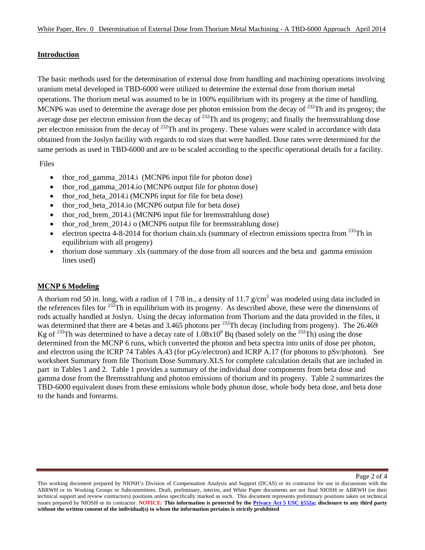## **Introduction**

The basic methods used for the determination of external dose from handling and machining operations involving uranium metal developed in TBD-6000 were utilized to determine the external dose from thorium metal operations. The thorium metal was assumed to be in 100% equilibrium with its progeny at the time of handling. MCNP6 was used to determine the average dose per photon emission from the decay of <sup>232</sup>Th and its progeny; the average dose per electron emission from the decay of <sup>232</sup>Th and its progeny; and finally the bremsstrahlung dose per electron emission from the decay of <sup>232</sup>Th and its progeny. These values were scaled in accordance with data obtained from the Joslyn facility with regards to rod sizes that were handled. Dose rates were determined for the same periods as used in TBD-6000 and are to be scaled according to the specific operational details for a facility.

Files

- thor rod gamma 2014.i (MCNP6 input file for photon dose)
- thor\_rod\_gamma\_2014.io (MCNP6 output file for photon dose)
- thor rod beta 2014.i (MCNP6 input for file for beta dose)
- thor\_rod\_beta\_2014.io (MCNP6 output file for beta dose)
- thor rod brem 2014.i (MCNP6 input file for bremsstrahlung dose)
- thor rod brem 2014.i o (MCNP6 output file for bremsstrahlung dose)
- electron spectra 4-8-2014 for thorium chain.xls (summary of electron emissions spectra from <sup>232</sup>Th in equilibrium with all progeny)
- thorium dose summary .xls (summary of the dose from all sources and the beta and gamma emission lines used)

# **MCNP 6 Modeling**

A thorium rod 50 in. long, with a radius of 1 7/8 in., a density of 11.7  $g/cm<sup>3</sup>$  was modeled using data included in the references files for  $232$ Th in equilibrium with its progeny. As described above, these were the dimensions of rods actually handled at Joslyn. Using the decay information from Thorium and the data provided in the files, it was determined that there are 4 betas and 3.465 photons per <sup>232</sup>Th decay (including from progeny). The 26.469 Kg of <sup>232</sup>Th was determined to have a decay rate of  $1.08x10^8$  Bq (based solely on the <sup>232</sup>Th) using the dose determined from the MCNP 6 runs, which converted the photon and beta spectra into units of dose per photon, and electron using the ICRP 74 Tables A.43 (for pGy/electron) and ICRP A.17 (for photons to pSv/photon). See worksheet Summary from file Thorium Dose Summary.XLS for complete calculation details that are included in part in Tables 1 and 2. Table 1 provides a summary of the individual dose components from beta dose and gamma dose from the Bremsstrahlung and photon emissions of thorium and its progeny. Table 2 summarizes the TBD-6000 equivalent doses from these emissions whole body photon dose, whole body beta dose, and beta dose to the hands and forearms.

 **without the written consent of the individual(s) to whom the information pertains is strictly prohibited** This working document prepared by NIOSH's Division of Compensation Analysis and Support (DCAS) or its contractor for use in discussions with the ABRWH or its Working Groups or Subcommittees. Draft, preliminary, interim, and White Paper documents are not final NIOSH or ABRWH (or their technical support and review contractors) positions unless specifically marked as such. This document represents preliminary positions taken on technical issues prepared by NIOSH or its contractor. **NOTICE: This information is protected by the Privacy Act 5 USC §552a; disclosure to any third party**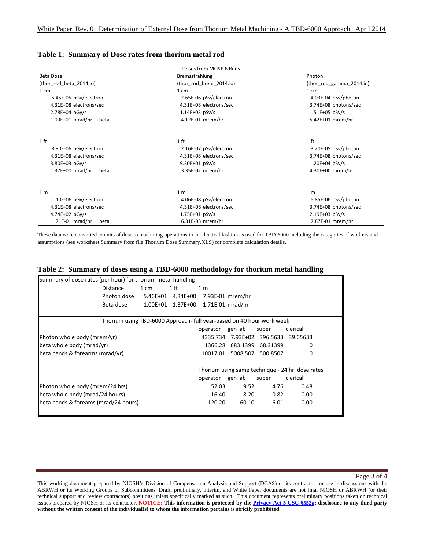| Table 1: Summary of Dose rates from thorium metal rod |  |
|-------------------------------------------------------|--|
|-------------------------------------------------------|--|

|                            | Doses from MCNP 6 Runs  |                          |  |  |
|----------------------------|-------------------------|--------------------------|--|--|
| Beta Dose                  | Bremsstrahlung          | Photon                   |  |  |
| (thor rod beta 2014.io)    | (thor rod brem 2014.io) | (thor_rod_gamma_2014.io) |  |  |
| 1 cm                       | $1 \, \text{cm}$        | $1 \, \text{cm}$         |  |  |
| 6.45E-05 pGy/electron      | 2.65E-06 pSv/electron   | 4.03E-04 pSv/photon      |  |  |
| 4.31E+08 electrons/sec     | 4.31E+08 electrons/sec  | 3.74E+08 photons/sec     |  |  |
| $2.78E + 04$ pGy/s         | $1.14E + 03$ pSv/s      | $1.51E+05$ pSv/s         |  |  |
| $1.00E+01$ mrad/hr<br>beta | 4.12E-01 mrem/hr        | 5.42E+01 mrem/hr         |  |  |
|                            |                         |                          |  |  |
| 1 ft                       | 1 <sup>ft</sup>         | 1 ft                     |  |  |
| 8.80E-06 pGy/electron      | 2.16E-07 pSv/electron   | 3.20E-05 pSv/photon      |  |  |
| 4.31E+08 electrons/sec     | 4.31E+08 electrons/sec  | 3.74E+08 photons/sec     |  |  |
| $3.80E + 03$ pGy/s         | $9.30E + 01$ pSv/s      | $1.20E + 04$ pSv/s       |  |  |
| $1.37E+00$ mrad/hr<br>beta | 3.35E-02 mrem/hr        | 4.30E+00 mrem/hr         |  |  |
| 1 <sub>m</sub>             | 1 <sub>m</sub>          | 1 <sub>m</sub>           |  |  |
| 1.10E-06 pGy/electron      | 4.06E-08 pSv/electron   | 5.85E-06 pSv/photon      |  |  |
| 4.31E+08 electrons/sec     | 4.31E+08 electrons/sec  | 3.74E+08 photons/sec     |  |  |
| 4.74E+02 $pGy/s$           | $1.75E + 01$ pSv/s      | $2.19E + 03$ pSv/s       |  |  |
| 1.71E-01 mrad/hr<br>beta   | 6.31E-03 mrem/hr        | 7.87E-01 mrem/hr         |  |  |

These data were converted to units of dose to machining operations in an identical fashion as used for TBD-6000 including the categories of workers and assumptions (see worksheet Summary from file Thorium Dose Summary.XLS) for complete calculation details.

#### **Table 2: Summary of doses using a TBD-6000 methodology for thorium metal handling**

| Summary of dose rates (per hour) for thorium metal handling           |                                                                    |                                                 |                                       |                  |                   |       |          |  |
|-----------------------------------------------------------------------|--------------------------------------------------------------------|-------------------------------------------------|---------------------------------------|------------------|-------------------|-------|----------|--|
|                                                                       | <b>Distance</b>                                                    | 1 cm                                            | $1$ ft                                | 1 <sub>m</sub>   |                   |       |          |  |
|                                                                       | Photon dose                                                        |                                                 | 5.46E+01 4.34E+00 7.93E-01 mrem/hr    |                  |                   |       |          |  |
|                                                                       | Beta dose                                                          |                                                 | 1.00E+01  1.37E+00  1.71E-01  mrad/hr |                  |                   |       |          |  |
| Thorium using TBD-6000 Approach- full year-based on 40 hour work week |                                                                    |                                                 |                                       |                  |                   |       |          |  |
|                                                                       |                                                                    |                                                 |                                       | operator         | gen lab           | super | clerical |  |
|                                                                       | 4335.734 7.93E+02 396.5633 39.65633<br>Photon whole body (mrem/yr) |                                                 |                                       |                  |                   |       |          |  |
| beta whole body (mrad/yr)                                             |                                                                    |                                                 | 1366.28                               |                  | 683.1399 68.31399 | 0     |          |  |
| beta hands & forearms (mrad/yr)<br>10017.01                           |                                                                    |                                                 | 5008.507 500.8507                     | 0                |                   |       |          |  |
|                                                                       |                                                                    | Thorium using same technique - 24 hr dose rates |                                       |                  |                   |       |          |  |
|                                                                       |                                                                    |                                                 |                                       | operator gen lab |                   | super | clerical |  |
| Photon whole body (mrem/24 hrs)                                       |                                                                    |                                                 |                                       | 52.03            | 9.52              | 4.76  | 0.48     |  |
| beta whole body (mrad/24 hours)                                       |                                                                    |                                                 |                                       | 16.40            | 8.20              | 0.82  | 0.00     |  |
| beta hands & foreams (mrad/24 hours)                                  |                                                                    |                                                 |                                       | 120.20           | 60.10             | 6.01  | 0.00     |  |

 **without the written consent of the individual(s) to whom the information pertains is strictly prohibited** This working document prepared by NIOSH's Division of Compensation Analysis and Support (DCAS) or its contractor for use in discussions with the ABRWH or its Working Groups or Subcommittees. Draft, preliminary, interim, and White Paper documents are not final NIOSH or ABRWH (or their technical support and review contractors) positions unless specifically marked as such. This document represents preliminary positions taken on technical issues prepared by NIOSH or its contractor. **NOTICE: This information is protected by the Privacy Act 5 USC §552a; disclosure to any third party**